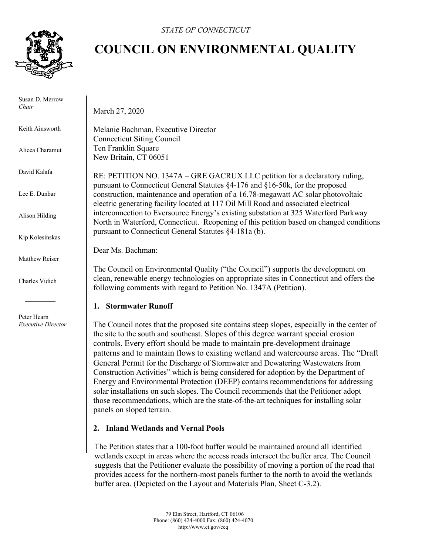

 Susan D. Merrow *Chair*

Keith Ainsworth

Alicea Charamut

David Kalafa

Lee E. Dunbar

Alison Hilding

Kip Kolesinskas

Matthew Reiser

Charles Vidich

 Peter Hearn *Executive Director*

# **COUNCIL ON ENVIRONMENTAL QUALITY**

March 27, 2020

Melanie Bachman, Executive Director Connecticut Siting Council Ten Franklin Square New Britain, CT 06051

RE: PETITION NO. 1347A – GRE GACRUX LLC petition for a declaratory ruling, pursuant to Connecticut General Statutes §4-176 and §16-50k, for the proposed construction, maintenance and operation of a 16.78-megawatt AC solar photovoltaic electric generating facility located at 117 Oil Mill Road and associated electrical interconnection to Eversource Energy's existing substation at 325 Waterford Parkway North in Waterford, Connecticut. Reopening of this petition based on changed conditions pursuant to Connecticut General Statutes §4-181a (b).

Dear Ms. Bachman:

The Council on Environmental Quality ("the Council") supports the development on clean, renewable energy technologies on appropriate sites in Connecticut and offers the following comments with regard to Petition No. 1347A (Petition).

## **1. Stormwater Runoff**

The Council notes that the proposed site contains steep slopes, especially in the center of the site to the south and southeast. Slopes of this degree warrant special erosion controls. Every effort should be made to maintain pre-development drainage patterns and to maintain flows to existing wetland and watercourse areas. The "Draft General Permit for the Discharge of Stormwater and Dewatering Wastewaters from Construction Activities" which is being considered for adoption by the Department of Energy and Environmental Protection (DEEP) contains recommendations for addressing solar installations on such slopes. The Council recommends that the Petitioner adopt those recommendations, which are the state-of-the-art techniques for installing solar panels on sloped terrain.

## **2. Inland Wetlands and Vernal Pools**

The Petition states that a 100-foot buffer would be maintained around all identified wetlands except in areas where the access roads intersect the buffer area. The Council suggests that the Petitioner evaluate the possibility of moving a portion of the road that provides access for the northern-most panels further to the north to avoid the wetlands buffer area. (Depicted on the Layout and Materials Plan, Sheet C-3.2).